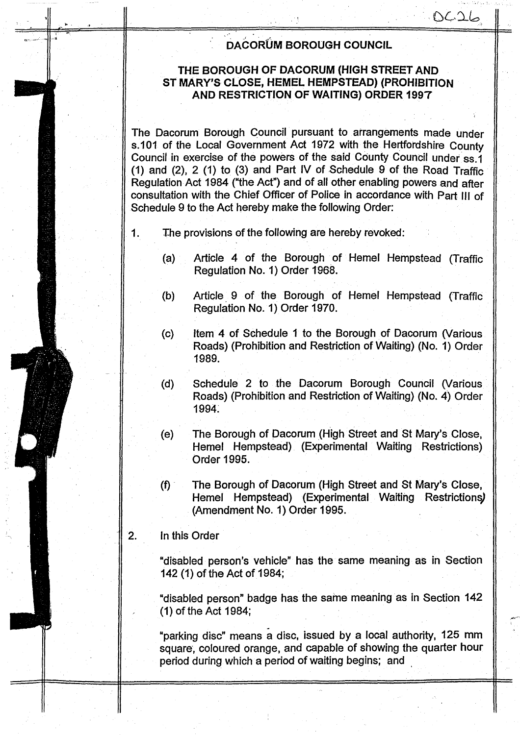# DACORUM BOROUGH COUNCIL

 $\mathcal{L}\mathcal{L}\mathcal{L}$ 

### THE BOROUGH OF DACORUM (HIGH STREET AND ST MARY'S CLOSE, HEMEL HEMPSTEAD) (PROHIBITION AND RESTRICTION OF WAITING) ORDER 1997

The Dacorum Borough Council pursuant to arrangements made under s.101 of the Local Government Act 1972 with the Hertfordshire County Council in exercise of the powers of the said County Council under ss.1 (1) and (2), 2 (1) to (3) and Part IV of Schedule 9 of the Road Traffic Regulation Act 1984 ("the Act") and of all other enabling powers and after consultation with the Chief Officer of Police in accordance with Part III of Schedule 9 to the Act hereby make the following Order:

- The provisions of the following are hereby revoked:  $1.$ 
	- Article 4 of the Borough of Hemel Hempstead (Traffic  $(a)$ Regulation No. 1) Order 1968.
	- Article 9 of the Borough of Hemel Hempstead (Traffic  $(b)$ Regulation No. 1) Order 1970.
	- Item 4 of Schedule 1 to the Borough of Dacorum (Various  $(c)$ Roads) (Prohibition and Restriction of Waiting) (No. 1) Order 1989.
	- Schedule 2 to the Dacorum Borough Council (Various  $(d)$ Roads) (Prohibition and Restriction of Waiting) (No. 4) Order 1994.
	- The Borough of Dacorum (High Street and St Mary's Close,  $(e)$ Hemel Hempstead) (Experimental Waiting Restrictions) Order 1995.
	- The Borough of Dacorum (High Street and St Mary's Close,  $(f)$ Hemel Hempstead) (Experimental Waiting Restrictions) (Amendment No. 1) Order 1995.

#### $2.$ In this Order

"disabled person's vehicle" has the same meaning as in Section 142 (1) of the Act of 1984;

"disabled person" badge has the same meaning as in Section 142 (1) of the Act 1984;

"parking disc" means a disc, issued by a local authority, 125 mm square, coloured orange, and capable of showing the quarter hour period during which a period of waiting begins; and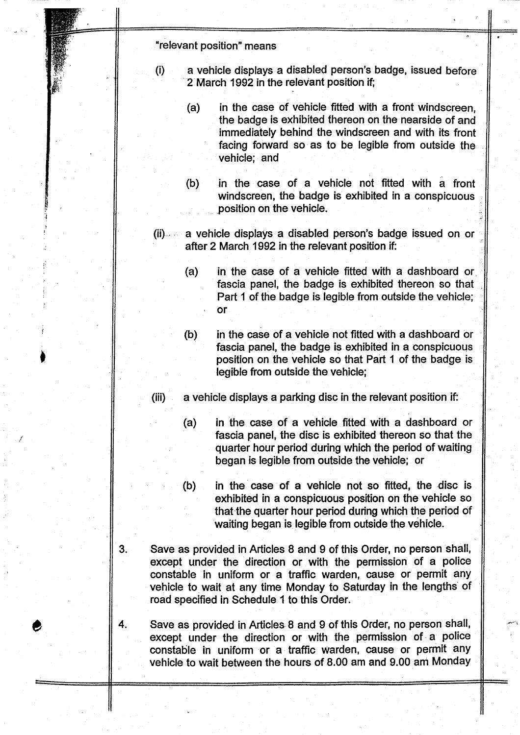"relevant position" means

- (i) a vehicle displays a disabled person's badge, issued before 2 March 1992 in the relevant position if;
	- (a) in the case of vehicle fitted with a front windscreen, the badge is exhibited thereon on the nearside of and immediately behind the windscreen and with its front facing forward so as to be legible from outside the vehicle; and
	- (b) in the case of a vehicle not fitted with a front windscreen, the badge is exhibited in a conspicuous position on the vehicle.
- (ii)- ;- a vehicle displays a disabled person's badge issued on or after 2 March 1992 in the relevant position if.
	- in the case of a vehicle fitted with a dashboard or.  $(a)$ fascia panel, the badge is exhibited thereon so that Part <sup>1</sup> of the badge is legible from outside the vehicle; or
	- (b) in the case of a vehicle not fitted with a dashboard or fascia panel, the badge is exhibited in a conspicuous position on the vehicle so that Part <sup>1</sup> of the badge is legible from outside the vehicle;
- $(iii)$  a vehicle displays a parking disc in the relevant position if:
	- (a) in the case of a vehicle fitted with a dashboard or fascia panel, the disc is exhibited thereon so that the quarter hour period during which the period of waiting began is legible from outside the vehicle; or
	- (b) in the case of a vehicle not so fitted, the disc is exhibited in a conspicuous position on the vehicle so that the quarter hour period during which the period of waiting began is legible from outside the vehicle.
- $3.$ Save as provided in Articles 8 and 9 of this Order, no person shall, except under the direction or with the permission of a police constable in uniform or a traffic warden, cause or permit any vehicle to wait at any time Monday to Saturday in the lengths of road specified in Schedule <sup>1</sup> to this Order.
- 4. Save as provided in Articles 8 and 9 of this Order, no person shall, except under the direction or with the permission of a police constable in uniform or a traffic warden, cause or permit any vehicle to wait between the hours of 8.00 am and 9.00 am Monday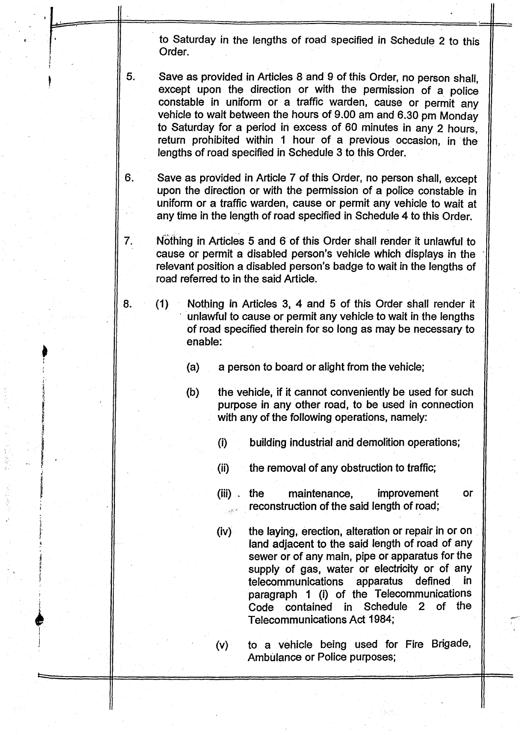to Saturday in the lengths of road specified in Schedule 2 to this Order.

5. Save as provided in Articles 8 and 9 of this Order, no person shall, except upon the direction or with the permission of a police constable in uniform or a traffic warden, cause or permit any vehicle to wait between the hours of <sup>9</sup> .00 am and 6.30 pm Monday to Saturday for a period in excess of 60 minutes in any 2 hours, return prohibited within <sup>1</sup> hour of a previous occasion, in the lengths of road specified in Schedule 3 to this Order.

Save as provided in Article 7 of this Order, no person shall, except upon the direction or with the permission of a police constable in uniform or a traffic warden, cause or permit any vehicle to wait at any time in the length of road specified in Schedule 4 to this Order.

6.

7.

Nothing in Articles 5 and 6 of this Order shall render it unlawful to cause or permit a disabled person's vehicle which displays in the relevant position a disabled person's badge to wait in the lengths of road referred to in the said Article.

8. (1) Nothing in Articles 3, 4 and 5 of this Order shall render it unlawful to cause or permit any vehicle to wait in the lengths of road specified therein for so long as may be necessary to enable:

- (a) a person to board or alight from the vehicle;
- (b) the vehicle, if it cannot conveniently be used for such purpose in any other road, to be used in connection with any of the following operations, namely:
	- (i) building industrial and demolition operations;
	- (ii) the removal of any obstruction to traffic;
	- (iii) . the maintenance, improvement or reconstruction of the said length of road;
	- (iv) the laying, erection, alteration or repair in or on land adjacent to the said length of road of any sewer or of any main, pipe or apparatus for the supply of gas, water or electricity or of any<br>telecommunications apparatus defined in telecommunications apparatus paragraph <sup>1</sup> (i) of the Telecommunications Code contained in Schedule 2 of the Telecommunications Act 1984;

(v) to a vehicle being used for Fire Brigade, Ambulance or Police purposes;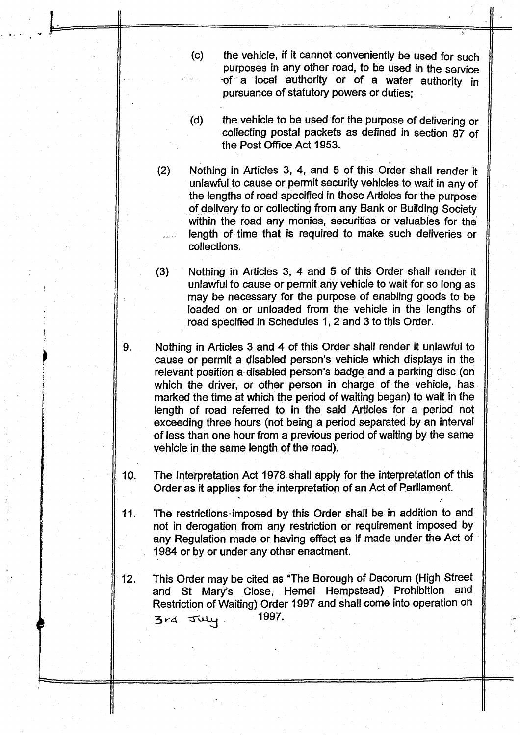- (c) the vehicle, if it cannot conveniently be used for such purposes in any other road, to be used in the service of a local authority or of a water authority in pursuance of statutory powers or duties ;
- (d) the vehicle to be used for the purpose of delivering or collecting postal packets as defined in section 87 of the Post Office Act 1953.

(2) Nothing in Articles 3, 4, and 5 of this Order shall render it unlawful to cause or permit security vehicles to wait in any of the lengths of road specified in those Articles for the purpose of delivery to or collecting from any Bank or Building Society within the road any monies, securities or valuables for the length of time that is required to make such deliveries or collections.

 $(3)$ Nothing in Articles 3, 4 and 5 of this Order shall render it unlawful to cause or permit any vehicle to wait for so long as may be necessary for the purpose of enabling goods to be loaded on or unloaded from the vehicle in the lengths of road specified in Schedules 1, 2 and 3 to this Order.

Nothing in Articles 3 and 4 of this Order shall render it unlawful to cause or permit a disabled person's vehicle which displays in the relevant position a- disabled person's badge and a parking disc (on which the driver, or other person in charge of the vehicle, has marked the time at which the period of waiting began) to wait in the length of road referred to in the said Articles for a period not exceeding three hours (not being a period separated by an interval of less than one hour from a previous period of waiting by the same vehicle in the same length of the road).

- 10. The Interpretation Act 1978 shall apply for the interpretation of this Order as it applies for the interpretation of an Act of Parliament.
- 11. The restrictions imposed by this Order shall be in addition to and not in derogation from any restriction or requirement imposed by any Regulation made or having effect as if made under the Act of 1984 or by or under any other enactment.
- 12. This Order may be cited as "The Borough of Dacorum (High Street and St Mary's Close, Hemel Hempstead) Prohibition and Restriction of Waiting) Order 1997 and shall come into operation on  $3rd$   $J\psi$ . 1997.

9.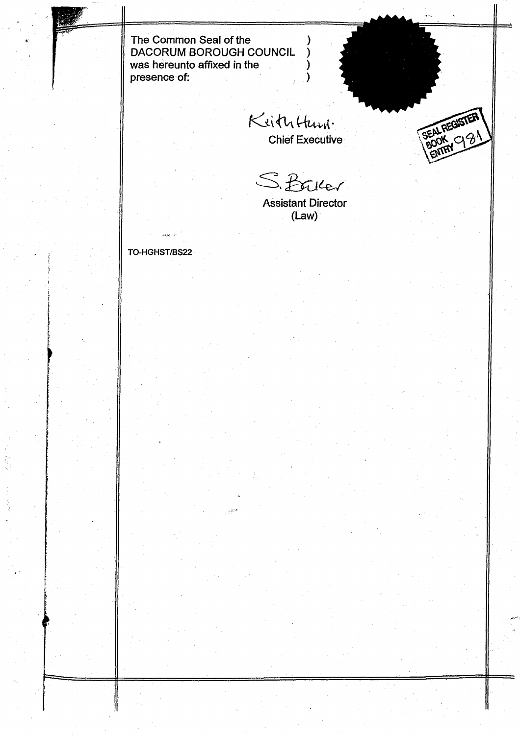The Common Seal of the DACORUM BOROUGH COUNCIL was hereunto affixed in the presence of:

Keiththam. Chief Executive

BEALREGISTER

S. Baller

Assistant Director (Law)

TO-HGHST/BS22

. G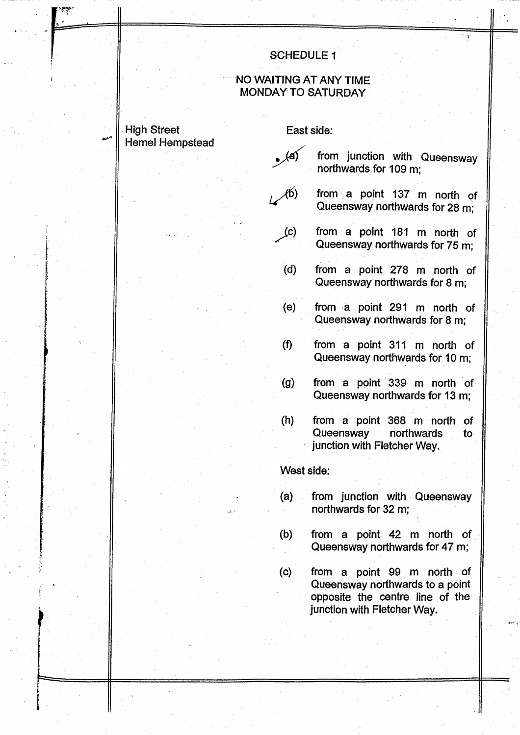#### **SCHEDULE 1**

#### NO WAITING AT ANY TIME **MONDAY TO SATURDAY**

# **High Street Hemel Hempstead**

#### East side:

- $\sqrt{a}$ from junction with Queensway northwards for 109 m:
- from a point 137 m north of  $\mathcal{A}(\mathfrak{b})$ Queensway northwards for 28 m;
	- from a point 181 m north of  $(c)$ Queensway northwards for 75 m:
	- from a point 278 m north of  $(d)$ Queensway northwards for 8 m;
	- $(e)$ from a point 291 m north of Queensway northwards for 8 m;
	- $(f)$ from a point 311 m north of Queensway northwards for 10 m;
	- from a point 339 m north of  $(g)$ Queensway northwards for 13 m;
	- $(h)$ from a point 368 m north of Queensway northwards to junction with Fletcher Way.

#### West side:

- $(a)$ from junction with Queensway northwards for 32 m;
- from a point 42 m north of  $(b)$ Queensway northwards for 47 m;
- from a point 99 m north of  $(c)$ Queensway northwards to a point opposite the centre line of the junction with Fletcher Way.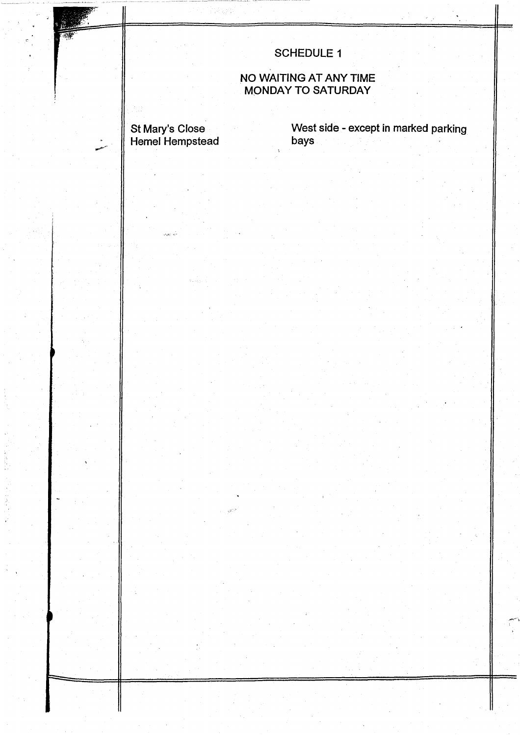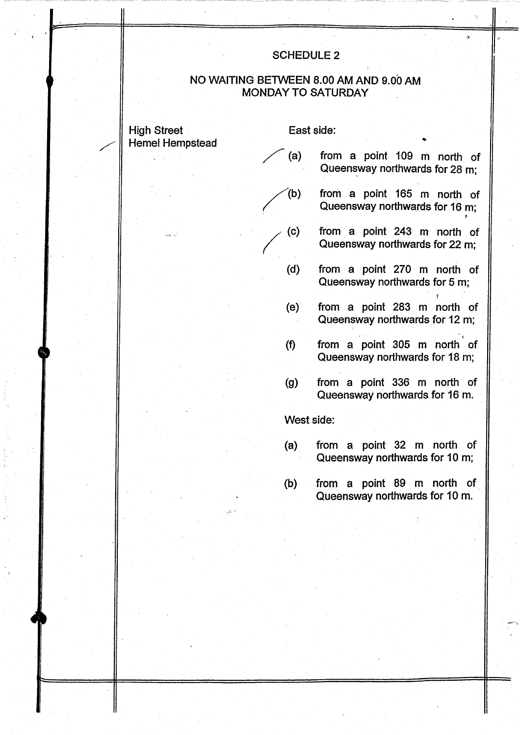#### SCHEDULE 2

#### NO WAITING BETWEEN 8.00 AM AND 9.00 AM MONDAY TO SATURDAY

High Street East side: Hemel Hempstead

- (a) from a point 109 m north of Queensway northwards for 28 m;
- /(b) from <sup>a</sup> point <sup>165</sup> m north of Queensway northwards for <sup>16</sup> m;

r

r

- (c) from a point 243 m north of Queensway northwards for <sup>22</sup> m;
- (d) from <sup>a</sup> point 270 m north of Queensway northwards for <sup>5</sup> m;
- (e) from <sup>a</sup> point 283 m north of Queensway northwards for <sup>12</sup> m;
- from <sup>a</sup> point 305 m north of  $(f)$ Queensway northwards for <sup>18</sup> m;
- from <sup>a</sup> point <sup>336</sup> m north of  $(g)$ Queensway northwards for <sup>16</sup> m.

West side:

- (a) from a point 32 m north of Queensway northwards for <sup>10</sup> m;
- (b) from <sup>a</sup> point <sup>89</sup> m north of Queensway northwards for <sup>10</sup> m.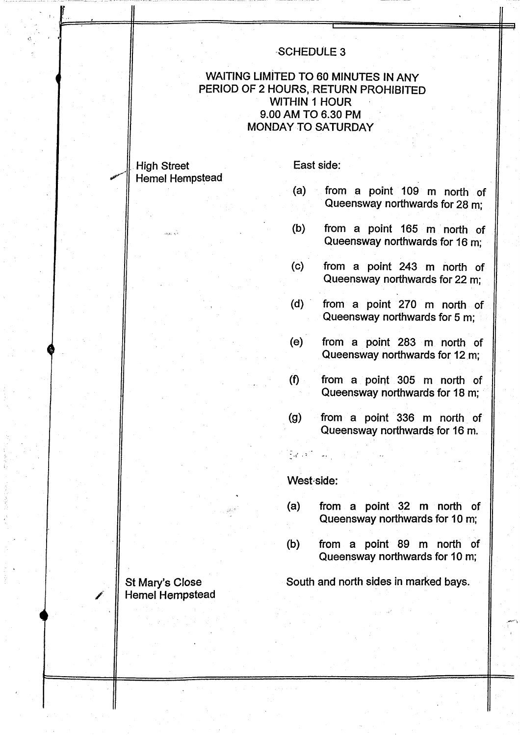# .SCHEDULE 3

## WAITING LIMITED TO 60 MINUTES IN ANY PERIOD OF 2 HOURS, RETURN PROHIBITED WITHIN <sup>1</sup> HOUR <sup>9</sup> .00 AM TO 6.30 PM MONDAY TO SATURDAY

#### High Street East side: Hemel Hempstead

- (a) from <sup>a</sup> point 109 m north of Queensway northwards for 28 m;
- (b) from <sup>a</sup> point <sup>165</sup> m north of Queensway northwards for <sup>16</sup> m;
- (c) from a point 243 m north of Queensway northwards for 22 m;
- (d) from <sup>a</sup> point 270 m north of Queensway northwards for <sup>5</sup> m;
- (e) from <sup>a</sup> point <sup>283</sup> m north of Queensway northwards for 12 m;
- (f) from <sup>a</sup> point 305 m north of Queensway northwards for 18 m;
- $(g)$  from a point 336 m north of Queensway northwards for <sup>16</sup> m.

#### West side:

- (a) from <sup>a</sup> point 32 m north of Queensway northwards for <sup>10</sup> m;
- (b) from <sup>a</sup> point <sup>89</sup> m north of Queensway northwards for <sup>10</sup> m;

St Mary's Close South and north sides in marked bays.

# Hemel Hempstead